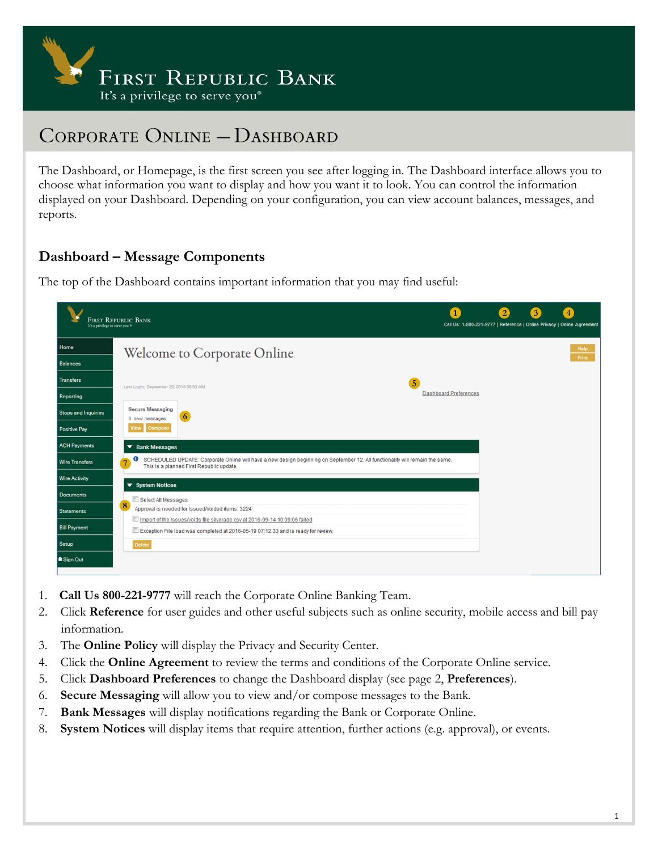

The Dashboard, or Homepage, is the first screen you see after logging in. The Dashboard interface allows you to choose what information you want to display and how you want it to look. You can control the information displayed on your Dashboard. Depending on your configuration, you can view account balances, messages, and reports.

#### **Dashboard – Message Components**

The top of the Dashboard contains important information that you may find useful:

| It's a privilege to serve you ® | <b>FIRST REPUBLIC BANK</b>                                                                                                                                                         |                              |  | $\overline{4}$<br>Call Us: 1-800-221-9777   Reference   Online Privacy   Online Agreement |
|---------------------------------|------------------------------------------------------------------------------------------------------------------------------------------------------------------------------------|------------------------------|--|-------------------------------------------------------------------------------------------|
| Home                            | Welcome to Corporate Online                                                                                                                                                        |                              |  | Help                                                                                      |
| <b>Balances</b>                 |                                                                                                                                                                                    |                              |  | Print                                                                                     |
| <b>Transfers</b>                | 5<br>Last LogIn: September 20, 2016 08:53 AM                                                                                                                                       |                              |  |                                                                                           |
| Reporting                       |                                                                                                                                                                                    | <b>Dashboard Preferences</b> |  |                                                                                           |
| <b>Stops and Inquiries</b>      | <b>Secure Messaging</b><br>0 new messages                                                                                                                                          |                              |  |                                                                                           |
| <b>Positive Pay</b>             | Compose<br>Vlew                                                                                                                                                                    |                              |  |                                                                                           |
| <b>ACH Payments</b>             | $\blacktriangledown$ Bank Messages                                                                                                                                                 |                              |  |                                                                                           |
| <b>Wire Transfers</b>           | SCHEDULED UPDATE: Corporate Online will have a new design beginning on September 12. All functionality will remain the same.<br>Ð<br>7<br>This is a planned First Republic update. |                              |  |                                                                                           |
| <b>Wire Activity</b>            | ▼ System Notices                                                                                                                                                                   |                              |  |                                                                                           |
| <b>Documents</b>                | Select All Messages                                                                                                                                                                |                              |  |                                                                                           |
| <b>Statements</b>               | 8<br>Approval is needed for Issued/Voided items: 3224                                                                                                                              |                              |  |                                                                                           |
| <b>Bill Payment</b>             | Import of the Issues/Voids file silverado.csv at 2016-09-14 10:09:06 failed<br>Exception File load was completed at 2016-05-19 07:12:33 and is ready for review.                   |                              |  |                                                                                           |
| Setup                           | Delete                                                                                                                                                                             |                              |  |                                                                                           |
| <b>a</b> Sign Out               |                                                                                                                                                                                    |                              |  |                                                                                           |

- 1. **Call Us 800-221-9777** will reach the Corporate Online Banking Team.
- 2. Click **Reference** for user guides and other useful subjects such as online security, mobile access and bill pay information.
- 3. The **Online Policy** will display the Privacy and Security Center.
- 4. Click the **Online Agreement** to review the terms and conditions of the Corporate Online service.
- 5. Click **Dashboard Preferences** to change the Dashboard display (see page 2, **Preferences**).
- 6. **Secure Messaging** will allow you to view and/or compose messages to the Bank.
- 7. **Bank Messages** will display notifications regarding the Bank or Corporate Online.
- 8. **System Notices** will display items that require attention, further actions (e.g. approval), or events.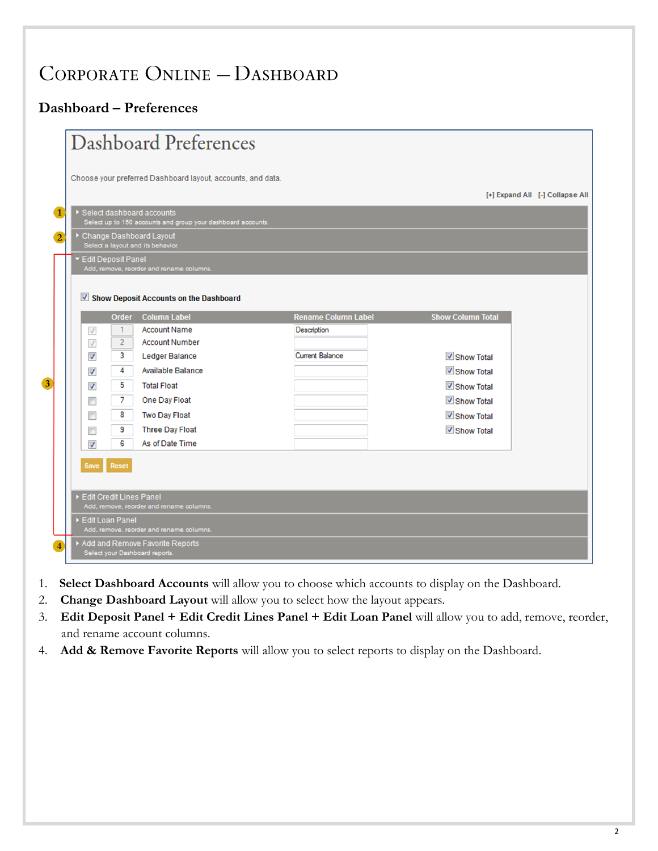### **Dashboard – Preferences**

|                         | Dashboard Preferences                                                                                       |                |                                                                   |                            |                          |                                 |  |  |  |  |
|-------------------------|-------------------------------------------------------------------------------------------------------------|----------------|-------------------------------------------------------------------|----------------------------|--------------------------|---------------------------------|--|--|--|--|
|                         |                                                                                                             |                |                                                                   |                            |                          |                                 |  |  |  |  |
|                         |                                                                                                             |                | Choose your preferred Dashboard layout, accounts, and data.       |                            |                          |                                 |  |  |  |  |
|                         |                                                                                                             |                |                                                                   |                            |                          | [+] Expand All [-] Collapse All |  |  |  |  |
|                         | $\blacksquare$<br>Select dashboard accounts<br>Select up to 150 accounts and group your dashboard accounts. |                |                                                                   |                            |                          |                                 |  |  |  |  |
| $\overline{2}$          |                                                                                                             |                | Change Dashboard Layout                                           |                            |                          |                                 |  |  |  |  |
|                         | ▼ Edit Deposit Panel                                                                                        |                | Select a layout and its behavior.                                 |                            |                          |                                 |  |  |  |  |
|                         |                                                                                                             |                | Add, remove, reorder and rename columns.                          |                            |                          |                                 |  |  |  |  |
|                         |                                                                                                             |                |                                                                   |                            |                          |                                 |  |  |  |  |
|                         |                                                                                                             |                | Show Deposit Accounts on the Dashboard                            |                            |                          |                                 |  |  |  |  |
|                         |                                                                                                             | <b>Order</b>   | <b>Column Label</b>                                               | <b>Rename Column Label</b> | <b>Show Column Total</b> |                                 |  |  |  |  |
|                         | $\checkmark$                                                                                                | 1              | <b>Account Name</b>                                               | Description                |                          |                                 |  |  |  |  |
|                         | $\checkmark$                                                                                                | $\overline{2}$ | <b>Account Number</b>                                             |                            |                          |                                 |  |  |  |  |
|                         | $\overline{\mathsf{v}}$                                                                                     | 3              | <b>Ledger Balance</b>                                             | <b>Current Balance</b>     | Show Total               |                                 |  |  |  |  |
|                         | $\overline{\mathsf{v}}$                                                                                     | 4              | <b>Available Balance</b>                                          |                            | Show Total               |                                 |  |  |  |  |
| $\overline{\mathbf{3}}$ | $\overline{\mathsf{v}}$                                                                                     | 5              | <b>Total Float</b>                                                |                            | Show Total               |                                 |  |  |  |  |
|                         | $\Box$                                                                                                      | 7              | One Day Float                                                     |                            | Show Total               |                                 |  |  |  |  |
|                         | $\Box$                                                                                                      | 8              | Two Day Float                                                     |                            | Show Total               |                                 |  |  |  |  |
|                         | ▛                                                                                                           | 9              | <b>Three Day Float</b>                                            |                            | Show Total               |                                 |  |  |  |  |
|                         | $\overline{\mathsf{v}}$                                                                                     | 6              | As of Date Time                                                   |                            |                          |                                 |  |  |  |  |
|                         | <b>Save</b>                                                                                                 | Reset          |                                                                   |                            |                          |                                 |  |  |  |  |
|                         |                                                                                                             |                |                                                                   |                            |                          |                                 |  |  |  |  |
|                         | Edit Credit Lines Panel                                                                                     |                |                                                                   |                            |                          |                                 |  |  |  |  |
|                         | Add, remove, reorder and rename columns.                                                                    |                |                                                                   |                            |                          |                                 |  |  |  |  |
|                         | Edit Loan Panel                                                                                             |                | Add, remove, reorder and rename columns.                          |                            |                          |                                 |  |  |  |  |
| $\overline{4}$          |                                                                                                             |                | Add and Remove Favorite Reports<br>Select your Dashboard reports. |                            |                          |                                 |  |  |  |  |

- 1. **Select Dashboard Accounts** will allow you to choose which accounts to display on the Dashboard.
- 2. **Change Dashboard Layout** will allow you to select how the layout appears.
- 3. **Edit Deposit Panel + Edit Credit Lines Panel + Edit Loan Panel** will allow you to add, remove, reorder, and rename account columns.
- 4. **Add & Remove Favorite Reports** will allow you to select reports to display on the Dashboard.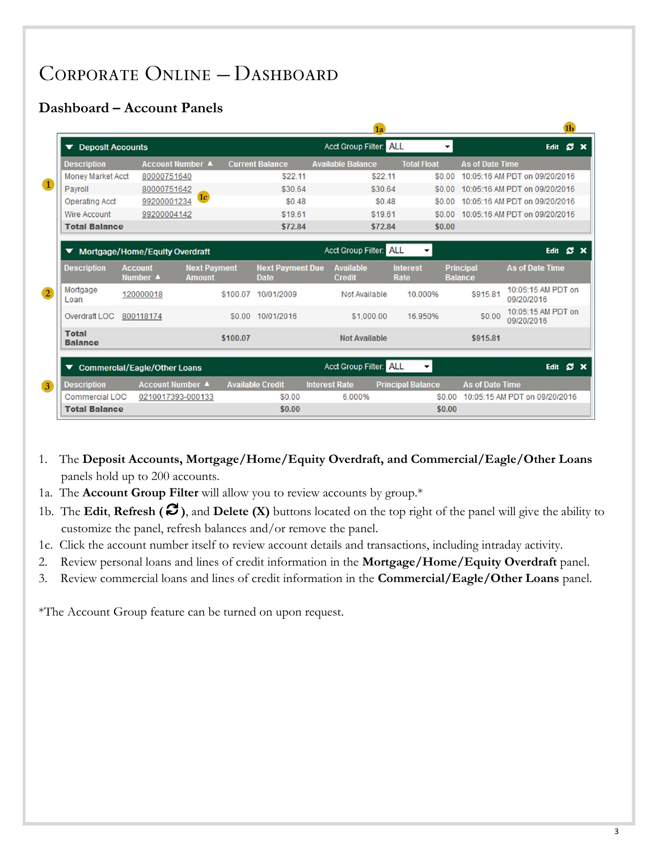### **Dashboard – Account Panels**

|                |                                     |                                |                                      |          |                                        |                                                    | 1a      |                          |                                    |                                  |      | 1 <sub>b</sub>      |  |
|----------------|-------------------------------------|--------------------------------|--------------------------------------|----------|----------------------------------------|----------------------------------------------------|---------|--------------------------|------------------------------------|----------------------------------|------|---------------------|--|
|                | ▼ Deposit Accounts                  |                                |                                      |          |                                        | Acct Group Filter: ALL<br>$\overline{\phantom{a}}$ |         |                          |                                    | <b>SX</b><br>Edit                |      |                     |  |
|                | <b>Description</b>                  | <b>Account Number ▲</b>        |                                      |          | <b>Current Balance</b>                 | <b>Available Balance</b>                           |         | <b>Total Float</b>       | <b>As of Date Time</b>             |                                  |      |                     |  |
|                | <b>Money Market Acct</b>            | 80000751640                    |                                      |          | \$22.11                                |                                                    | \$22.11 | \$0.00                   |                                    | 10:05:16 AM PDT on 09/20/2016    |      |                     |  |
| $\bullet$      | Payroll                             | 80000751642                    |                                      |          | \$30.64                                |                                                    | \$30.64 | \$0.00                   |                                    | 10:05:16 AM PDT on 09/20/2016    |      |                     |  |
|                | <b>Operating Acct</b>               | 99200001234                    | 1 <sub>c</sub>                       |          | \$0.48                                 |                                                    | \$0.48  | \$0.00                   |                                    | 10:05:16 AM PDT on 09/20/2016    |      |                     |  |
|                | <b>Wire Account</b>                 | 99200004142                    |                                      |          | \$19.61                                |                                                    | \$19.61 | \$0.00                   |                                    | 10:05:16 AM PDT on 09/20/2016    |      |                     |  |
|                | <b>Total Balance</b>                |                                |                                      |          | \$72.84                                |                                                    | \$72.84 | \$0.00                   |                                    |                                  |      |                     |  |
|                | ▼                                   |                                |                                      |          |                                        | <b>Acct Group Filter: ALL</b>                      |         | ▼                        |                                    |                                  | Edit | $\mathbf{C} \times$ |  |
|                |                                     | Mortgage/Home/Equity Overdraft |                                      |          |                                        |                                                    |         |                          |                                    |                                  |      |                     |  |
|                | <b>Description</b>                  | <b>Account</b><br>Number 4     | <b>Next Payment</b><br><b>Amount</b> |          | <b>Next Payment Due</b><br><b>Date</b> | <b>Available</b><br><b>Credit</b>                  |         | <b>Interest</b><br>Rate  | <b>Principal</b><br><b>Balance</b> | <b>As of Date Time</b>           |      |                     |  |
| $\overline{2}$ | Mortgage<br>Loan                    | 120000018                      |                                      | \$100.07 | 10/01/2009                             | Not Available                                      |         | 10.000%                  | \$915.81                           | 10:05:15 AM PDT on<br>09/20/2016 |      |                     |  |
|                | Overdraft LOC                       | 800118174                      |                                      |          | \$0.00 10/01/2016                      | \$1,000.00                                         |         | 16.950%                  | \$0.00                             | 10:05:15 AM PDT on<br>09/20/2016 |      |                     |  |
|                | <b>Total</b><br><b>Balance</b>      |                                |                                      | \$100.07 |                                        | <b>Not Available</b>                               |         |                          | \$915.81                           |                                  |      |                     |  |
|                | <b>Commercial/Eagle/Other Loans</b> |                                |                                      |          |                                        | Acct Group Filter: ALL                             |         | $\cdot$                  |                                    |                                  | Edit | <b>C</b> X          |  |
| 3              | <b>Description</b>                  | <b>Account Number ▲</b>        |                                      |          | <b>Available Credit</b>                | <b>Interest Rate</b>                               |         | <b>Principal Balance</b> | <b>As of Date Time</b>             |                                  |      |                     |  |
|                | Commercial LOC                      | 0210017393-000133              |                                      |          | \$0.00                                 | 6.000%                                             |         | \$0.00                   |                                    | 10:05:15 AM PDT on 09/20/2016    |      |                     |  |
|                | <b>Total Balance</b>                |                                |                                      |          | \$0.00                                 |                                                    |         | \$0.00                   |                                    |                                  |      |                     |  |

- 1. The **Deposit Accounts, Mortgage/Home/Equity Overdraft, and Commercial/Eagle/Other Loans** panels hold up to 200 accounts.
- 1a. The **Account Group Filter** will allow you to review accounts by group.\*
- 1b. The **Edit**, **Refresh (** $\mathcal{C}$ **)**, and **Delete (X)** buttons located on the top right of the panel will give the ability to customize the panel, refresh balances and/or remove the panel.
- 1c. Click the account number itself to review account details and transactions, including intraday activity.
- 2. Review personal loans and lines of credit information in the **Mortgage/Home/Equity Overdraft** panel.
- 3. Review commercial loans and lines of credit information in the **Commercial/Eagle/Other Loans** panel.

\*The Account Group feature can be turned on upon request.